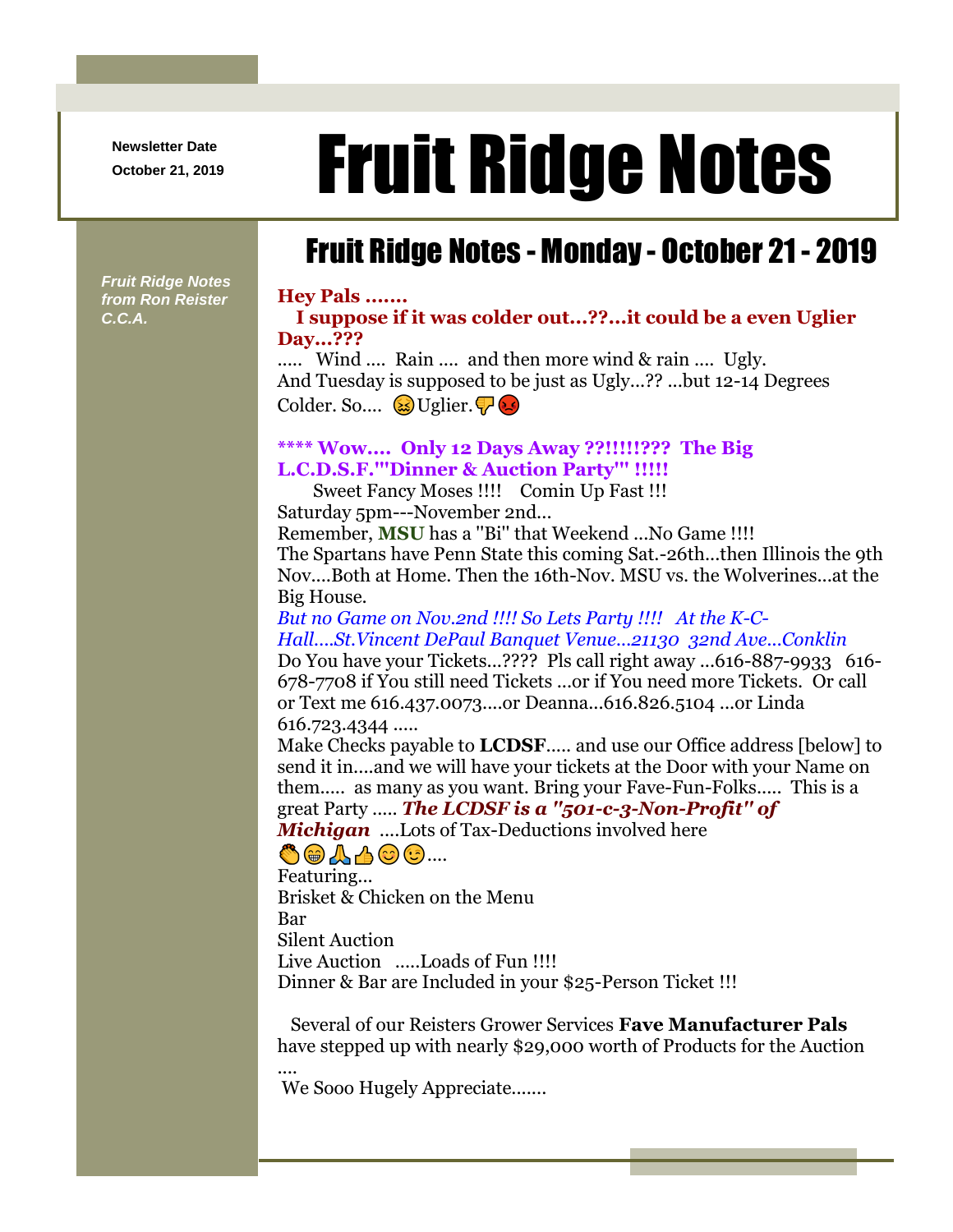**Newsletter Date**

*Fruit Ridge Notes from Ron Reister* 

*C.C.A.*

# Newsletter Date **Fruit Ridge Notes**

# Fruit Ridge Notes - Monday - October 21 - 2019

### **Hey Pals .......**

#### **I suppose if it was colder out...??...it could be a even Uglier Day...???**

..... Wind .... Rain .... and then more wind & rain .... Ugly. And Tuesday is supposed to be just as Ugly...?? ...but 12-14 Degrees Colder. So....  $\&$  Uglier.

## **\*\*\*\* Wow.... Only 12 Days Away ??!!!!!??? The Big L.C.D.S.F.'''Dinner & Auction Party''' !!!!!**

Sweet Fancy Moses !!!! Comin Up Fast !!! Saturday 5pm---November 2nd...

Remember, **MSU** has a ''Bi'' that Weekend ...No Game !!!! The Spartans have Penn State this coming Sat.-26th...then Illinois the 9th Nov....Both at Home. Then the 16th-Nov. MSU vs. the Wolverines...at the Big House.

*But no Game on Nov.2nd !!!! So Lets Party !!!! At the K-C-Hall....St.Vincent DePaul Banquet Venue...21130 32nd Ave...Conklin* Do You have your Tickets...???? Pls call right away ...616-887-9933 616- 678-7708 if You still need Tickets ...or if You need more Tickets. Or call or Text me 616.437.0073....or Deanna...616.826.5104 ...or Linda 616.723.4344 .....

Make Checks payable to **LCDSF**..... and use our Office address [below] to send it in....and we will have your tickets at the Door with your Name on them..... as many as you want. Bring your Fave-Fun-Folks..... This is a great Party ..... *The LCDSF is a ''501-c-3-Non-Profit'' of Michigan* ....Lots of Tax-Deductions involved here

## ....

Featuring... Brisket & Chicken on the Menu Bar Silent Auction Live Auction .....Loads of Fun !!!! Dinner & Bar are Included in your \$25-Person Ticket !!!

Several of our Reisters Grower Services **Fave Manufacturer Pals** have stepped up with nearly \$29,000 worth of Products for the Auction

.... We Sooo Hugely Appreciate.......